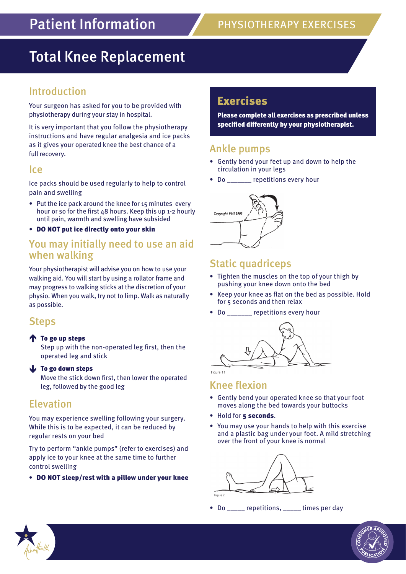# Total Knee Replacement

# Introduction

Your surgeon has asked for you to be provided with physiotherapy during your stay in hospital.

It is very important that you follow the physiotherapy instructions and have regular analgesia and ice packs as it gives your operated knee the best chance of a full recovery.

#### Ice

Ice packs should be used regularly to help to control pain and swelling

- Put the ice pack around the knee for 15 minutes every hour or so for the first 48 hours. Keep this up 1-2 hourly until pain, warmth and swelling have subsided
- • DO NOT put ice directly onto your skin

### You may initially need to use an aid when walking

Your physiotherapist will advise you on how to use your walking aid. You will start by using a rollator frame and may progress to walking sticks at the discretion of your physio. When you walk, try not to limp. Walk as naturally as possible.

### Steps

#### 个 To go up steps

Step up with the non-operated leg first, then the operated leg and stick

#### $\bigvee$  To go down steps

Move the stick down first, then lower the operated leg, followed by the good leg

## Elevation

You may experience swelling following your surgery. While this is to be expected, it can be reduced by regular rests on your bed

Try to perform "ankle pumps" (refer to exercises) and apply ice to your knee at the same time to further control swelling

• DO NOT sleep/rest with a pillow under your knee

# Exercises

Please complete all exercises as prescribed unless specified differently by your physiotherapist.

### Ankle pumps

- • Gently bend your feet up and down to help the circulation in your legs
- Do **repetitions every hour**



# Static quadriceps

- Tighten the muscles on the top of your thigh by pushing your knee down onto the bed
- Keep your knee as flat on the bed as possible. Hold for 5 seconds and then relax
- Do crepetitions every hour



Figure 11

#### Knee flexion

- • Gently bend your operated knee so that your foot moves along the bed towards your buttocks
- Hold for 5 seconds.
- You may use your hands to help with this exercise and a plastic bag under your foot. A mild stretching over the front of your knee is normal



• Do repetitions, times per day